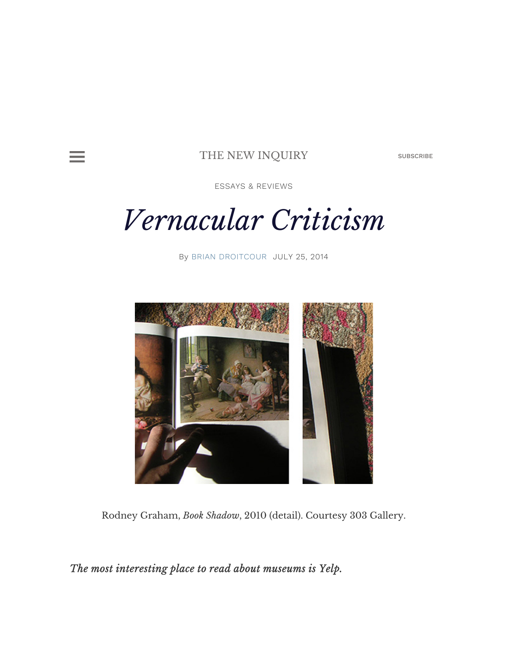

#### THE NEW INQUIRY SUBSCRIBE

ESSAYS & REVIEWS

# Vernacular Criticism

By BRIAN DROITCOUR JULY 25, 2014



Rodney Graham, Book Shadow, 2010 (detail). Courtesy 303 Gallery.

## The most interesting place to read about museums is Yelp.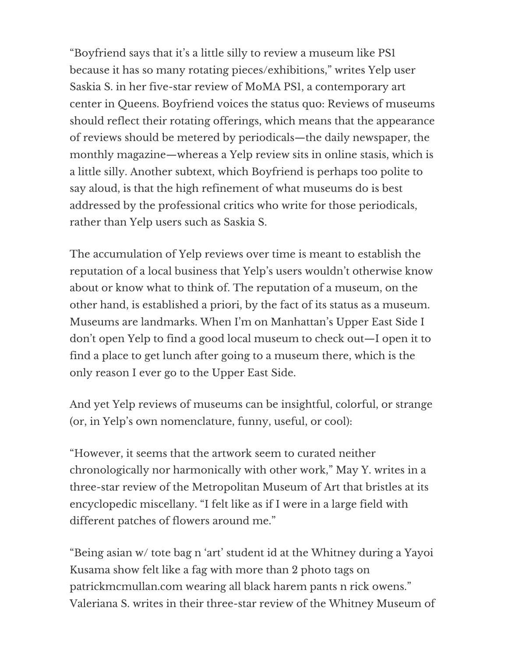"Boyfriend says that it's a little silly to review a museum like PS1 because it has so many rotating pieces/exhibitions," writes Yelp user Saskia S. in her five-star review of MoMA PS1, a contemporary art center in Queens. Boyfriend voices the status quo: Reviews of museums should reflect their rotating offerings, which means that the appearance of reviews should be metered by periodicals—the daily newspaper, the monthly magazine—whereas a Yelp review sits in online stasis, which is a little silly. Another subtext, which Boyfriend is perhaps too polite to say aloud, is that the high refinement of what museums do is best addressed by the professional critics who write for those periodicals, rather than Yelp users such as Saskia S.

The accumulation of Yelp reviews over time is meant to establish the reputation of a local business that Yelp's users wouldn't otherwise know about or know what to think of. The reputation of a museum, on the other hand, is established a priori, by the fact of its status as a museum. Museums are landmarks. When I'm on Manhattan's Upper East Side I don't open Yelp to find a good local museum to check out—I open it to find a place to get lunch after going to a museum there, which is the only reason I ever go to the Upper East Side.

And yet Yelp reviews of museums can be insightful, colorful, or strange (or, in Yelp's own nomenclature, funny, useful, or cool):

"However, it seems that the artwork seem to curated neither chronologically nor harmonically with other work," May Y. writes in a three-star review of the Metropolitan Museum of Art that bristles at its encyclopedic miscellany. "I felt like as if I were in a large field with different patches of flowers around me."

"Being asian w/ tote bag n 'art' student id at the Whitney during a Yayoi Kusama show felt like a fag with more than 2 photo tags on patrickmcmullan.com wearing all black harem pants n rick owens." Valeriana S. writes in their three-star review of the Whitney Museum of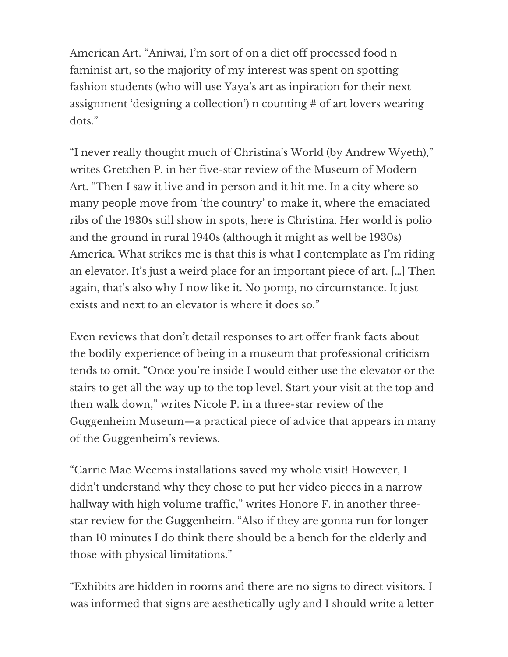American Art. "Aniwai, I'm sort of on a diet off processed food n faminist art, so the majority of my interest was spent on spotting fashion students (who will use Yaya's art as inpiration for their next assignment 'designing a collection') n counting # of art lovers wearing dots."

"I never really thought much of Christina's World (by Andrew Wyeth)," writes Gretchen P. in her five-star review of the Museum of Modern Art. "Then I saw it live and in person and it hit me. In a city where so many people move from 'the country' to make it, where the emaciated ribs of the 1930s still show in spots, here is Christina. Her world is polio and the ground in rural 1940s (although it might as well be 1930s) America. What strikes me is that this is what I contemplate as I'm riding an elevator. It's just a weird place for an important piece of art. […] Then again, that's also why I now like it. No pomp, no circumstance. It just exists and next to an elevator is where it does so."

Even reviews that don't detail responses to art offer frank facts about the bodily experience of being in a museum that professional criticism tends to omit. "Once you're inside I would either use the elevator or the stairs to get all the way up to the top level. Start your visit at the top and then walk down," writes Nicole P. in a three-star review of the Guggenheim Museum—a practical piece of advice that appears in many of the Guggenheim's reviews.

"Carrie Mae Weems installations saved my whole visit! However, I didn't understand why they chose to put her video pieces in a narrow hallway with high volume traffic," writes Honore F. in another threestar review for the Guggenheim. "Also if they are gonna run for longer than 10 minutes I do think there should be a bench for the elderly and those with physical limitations."

"Exhibits are hidden in rooms and there are no signs to direct visitors. I was informed that signs are aesthetically ugly and I should write a letter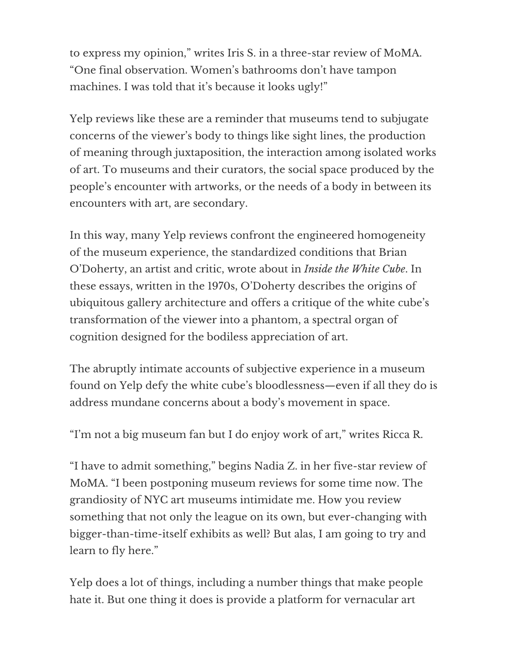to express my opinion," writes Iris S. in a three-star review of MoMA. "One final observation. Women's bathrooms don't have tampon machines. I was told that it's because it looks ugly!"

Yelp reviews like these are a reminder that museums tend to subjugate concerns of the viewer's body to things like sight lines, the production of meaning through juxtaposition, the interaction among isolated works of art. To museums and their curators, the social space produced by the people's encounter with artworks, or the needs of a body in between its encounters with art, are secondary.

In this way, many Yelp reviews confront the engineered homogeneity of the museum experience, the standardized conditions that Brian O'Doherty, an artist and critic, wrote about in Inside the White Cube. In these essays, written in the 1970s, O'Doherty describes the origins of ubiquitous gallery architecture and offers a critique of the white cube's transformation of the viewer into a phantom, a spectral organ of cognition designed for the bodiless appreciation of art.

The abruptly intimate accounts of subjective experience in a museum found on Yelp defy the white cube's bloodlessness—even if all they do is address mundane concerns about a body's movement in space.

"I'm not a big museum fan but I do enjoy work of art," writes Ricca R.

"I have to admit something," begins Nadia Z. in her five-star review of MoMA. "I been postponing museum reviews for some time now. The grandiosity of NYC art museums intimidate me. How you review something that not only the league on its own, but ever-changing with bigger-than-time-itself exhibits as well? But alas, I am going to try and learn to fly here."

Yelp does a lot of things, including a number things that make people hate it. But one thing it does is provide a platform for vernacular art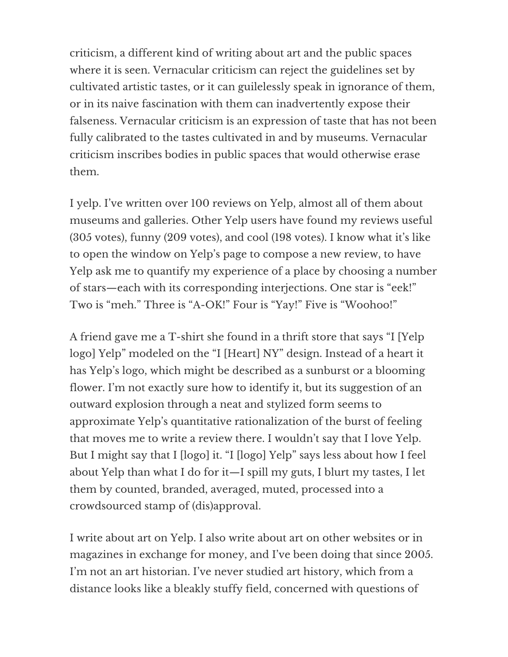criticism, a different kind of writing about art and the public spaces where it is seen. Vernacular criticism can reject the guidelines set by cultivated artistic tastes, or it can guilelessly speak in ignorance of them, or in its naive fascination with them can inadvertently expose their falseness. Vernacular criticism is an expression of taste that has not been fully calibrated to the tastes cultivated in and by museums. Vernacular criticism inscribes bodies in public spaces that would otherwise erase them.

I yelp. I've written over 100 reviews on Yelp, almost all of them about museums and galleries. Other Yelp users have found my reviews useful (305 votes), funny (209 votes), and cool (198 votes). I know what it's like to open the window on Yelp's page to compose a new review, to have Yelp ask me to quantify my experience of a place by choosing a number of stars—each with its corresponding interjections. One star is "eek!" Two is "meh." Three is "A-OK!" Four is "Yay!" Five is "Woohoo!"

A friend gave me a T-shirt she found in a thrift store that says "I [Yelp logo] Yelp" modeled on the "I [Heart] NY" design. Instead of a heart it has Yelp's logo, which might be described as a sunburst or a blooming flower. I'm not exactly sure how to identify it, but its suggestion of an outward explosion through a neat and stylized form seems to approximate Yelp's quantitative rationalization of the burst of feeling that moves me to write a review there. I wouldn't say that I love Yelp. But I might say that I [logo] it. "I [logo] Yelp" says less about how I feel about Yelp than what I do for it—I spill my guts, I blurt my tastes, I let them by counted, branded, averaged, muted, processed into a crowdsourced stamp of (dis)approval.

I write about art on Yelp. I also write about art on other websites or in magazines in exchange for money, and I've been doing that since 2005. I'm not an art historian. I've never studied art history, which from a distance looks like a bleakly stuffy field, concerned with questions of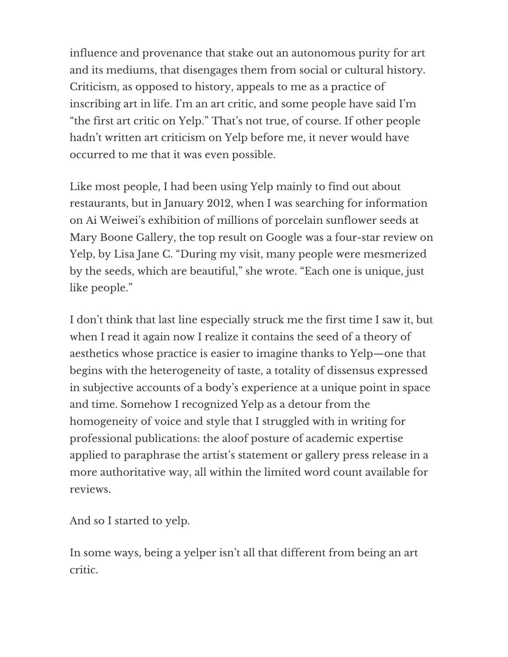influence and provenance that stake out an autonomous purity for art and its mediums, that disengages them from social or cultural history. Criticism, as opposed to history, appeals to me as a practice of inscribing art in life. I'm an art critic, and some people have said I'm "the first art critic on Yelp." That's not true, of course. If other people hadn't written art criticism on Yelp before me, it never would have occurred to me that it was even possible.

Like most people, I had been using Yelp mainly to find out about restaurants, but in January 2012, when I was searching for information on Ai Weiwei's exhibition of millions of porcelain sunflower seeds at Mary Boone Gallery, the top result on Google was a four-star review on Yelp, by Lisa Jane C. "During my visit, many people were mesmerized by the seeds, which are beautiful," she wrote. "Each one is unique, just like people."

I don't think that last line especially struck me the first time I saw it, but when I read it again now I realize it contains the seed of a theory of aesthetics whose practice is easier to imagine thanks to Yelp—one that begins with the heterogeneity of taste, a totality of dissensus expressed in subjective accounts of a body's experience at a unique point in space and time. Somehow I recognized Yelp as a detour from the homogeneity of voice and style that I struggled with in writing for professional publications: the aloof posture of academic expertise applied to paraphrase the artist's statement or gallery press release in a more authoritative way, all within the limited word count available for reviews.

And so I started to yelp.

In some ways, being a yelper isn't all that different from being an art critic.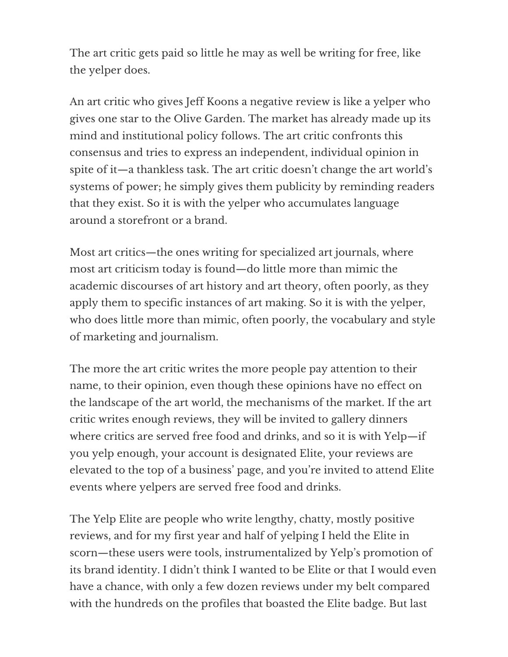The art critic gets paid so little he may as well be writing for free, like the yelper does.

An art critic who gives Jeff Koons a negative review is like a yelper who gives one star to the Olive Garden. The market has already made up its mind and institutional policy follows. The art critic confronts this consensus and tries to express an independent, individual opinion in spite of it—a thankless task. The art critic doesn't change the art world's systems of power; he simply gives them publicity by reminding readers that they exist. So it is with the yelper who accumulates language around a storefront or a brand.

Most art critics—the ones writing for specialized art journals, where most art criticism today is found—do little more than mimic the academic discourses of art history and art theory, often poorly, as they apply them to specific instances of art making. So it is with the yelper, who does little more than mimic, often poorly, the vocabulary and style of marketing and journalism.

The more the art critic writes the more people pay attention to their name, to their opinion, even though these opinions have no effect on the landscape of the art world, the mechanisms of the market. If the art critic writes enough reviews, they will be invited to gallery dinners where critics are served free food and drinks, and so it is with Yelp—if you yelp enough, your account is designated Elite, your reviews are elevated to the top of a business' page, and you're invited to attend Elite events where yelpers are served free food and drinks.

The Yelp Elite are people who write lengthy, chatty, mostly positive reviews, and for my first year and half of yelping I held the Elite in scorn—these users were tools, instrumentalized by Yelp's promotion of its brand identity. I didn't think I wanted to be Elite or that I would even have a chance, with only a few dozen reviews under my belt compared with the hundreds on the profiles that boasted the Elite badge. But last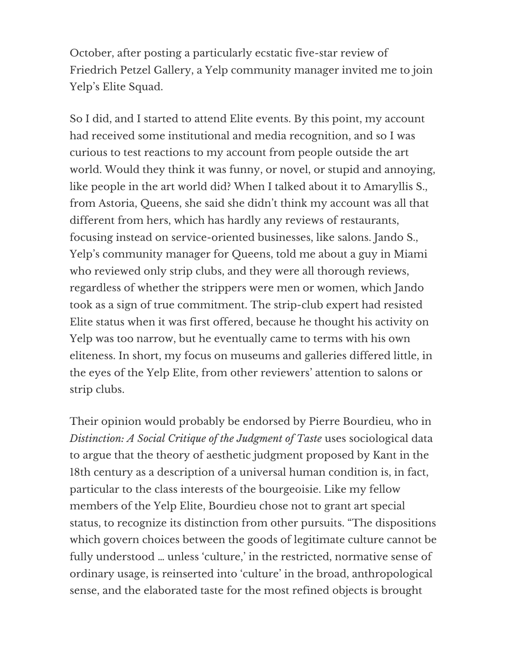October, after posting a particularly ecstatic five-star review of Friedrich Petzel Gallery, a Yelp community manager invited me to join Yelp's Elite Squad.

So I did, and I started to attend Elite events. By this point, my account had received some institutional and media recognition, and so I was curious to test reactions to my account from people outside the art world. Would they think it was funny, or novel, or stupid and annoying, like people in the art world did? When I talked about it to Amaryllis S., from Astoria, Queens, she said she didn't think my account was all that different from hers, which has hardly any reviews of restaurants, focusing instead on service-oriented businesses, like salons. Jando S., Yelp's community manager for Queens, told me about a guy in Miami who reviewed only strip clubs, and they were all thorough reviews, regardless of whether the strippers were men or women, which Jando took as a sign of true commitment. The strip-club expert had resisted Elite status when it was first offered, because he thought his activity on Yelp was too narrow, but he eventually came to terms with his own eliteness. In short, my focus on museums and galleries differed little, in the eyes of the Yelp Elite, from other reviewers' attention to salons or strip clubs.

Their opinion would probably be endorsed by Pierre Bourdieu, who in Distinction: A Social Critique of the Judgment of Taste uses sociological data to argue that the theory of aesthetic judgment proposed by Kant in the 18th century as a description of a universal human condition is, in fact, particular to the class interests of the bourgeoisie. Like my fellow members of the Yelp Elite, Bourdieu chose not to grant art special status, to recognize its distinction from other pursuits. "The dispositions which govern choices between the goods of legitimate culture cannot be fully understood … unless 'culture,' in the restricted, normative sense of ordinary usage, is reinserted into 'culture' in the broad, anthropological sense, and the elaborated taste for the most refined objects is brought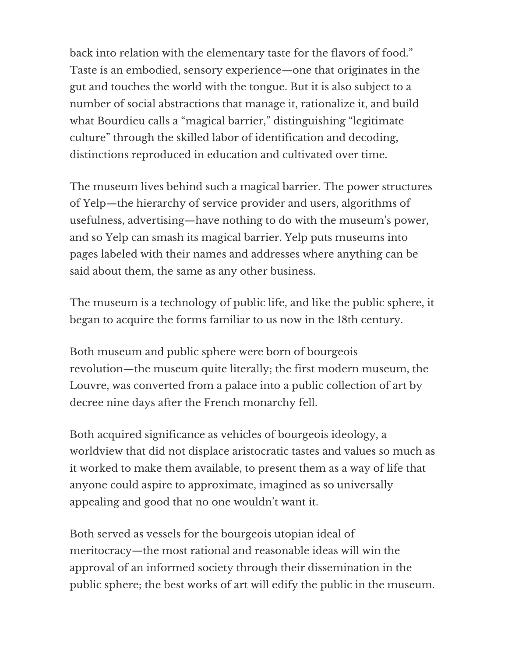back into relation with the elementary taste for the flavors of food." Taste is an embodied, sensory experience—one that originates in the gut and touches the world with the tongue. But it is also subject to a number of social abstractions that manage it, rationalize it, and build what Bourdieu calls a "magical barrier," distinguishing "legitimate culture" through the skilled labor of identification and decoding, distinctions reproduced in education and cultivated over time.

The museum lives behind such a magical barrier. The power structures of Yelp—the hierarchy of service provider and users, algorithms of usefulness, advertising—have nothing to do with the museum's power, and so Yelp can smash its magical barrier. Yelp puts museums into pages labeled with their names and addresses where anything can be said about them, the same as any other business.

The museum is a technology of public life, and like the public sphere, it began to acquire the forms familiar to us now in the 18th century.

Both museum and public sphere were born of bourgeois revolution—the museum quite literally; the first modern museum, the Louvre, was converted from a palace into a public collection of art by decree nine days after the French monarchy fell.

Both acquired significance as vehicles of bourgeois ideology, a worldview that did not displace aristocratic tastes and values so much as it worked to make them available, to present them as a way of life that anyone could aspire to approximate, imagined as so universally appealing and good that no one wouldn't want it.

Both served as vessels for the bourgeois utopian ideal of meritocracy—the most rational and reasonable ideas will win the approval of an informed society through their dissemination in the public sphere; the best works of art will edify the public in the museum.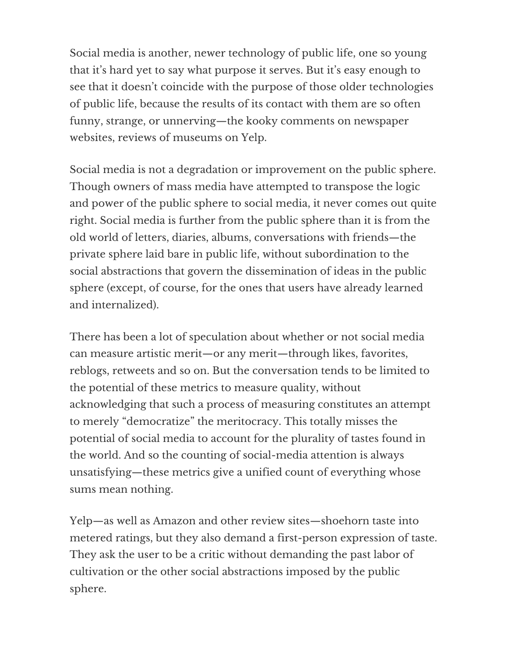Social media is another, newer technology of public life, one so young that it's hard yet to say what purpose it serves. But it's easy enough to see that it doesn't coincide with the purpose of those older technologies of public life, because the results of its contact with them are so often funny, strange, or unnerving—the kooky comments on newspaper websites, reviews of museums on Yelp.

Social media is not a degradation or improvement on the public sphere. Though owners of mass media have attempted to transpose the logic and power of the public sphere to social media, it never comes out quite right. Social media is further from the public sphere than it is from the old world of letters, diaries, albums, conversations with friends—the private sphere laid bare in public life, without subordination to the social abstractions that govern the dissemination of ideas in the public sphere (except, of course, for the ones that users have already learned and internalized).

There has been a lot of speculation about whether or not social media can measure artistic merit—or any merit—through likes, favorites, reblogs, retweets and so on. But the conversation tends to be limited to the potential of these metrics to measure quality, without acknowledging that such a process of measuring constitutes an attempt to merely "democratize" the meritocracy. This totally misses the potential of social media to account for the plurality of tastes found in the world. And so the counting of social-media attention is always unsatisfying—these metrics give a unified count of everything whose sums mean nothing.

Yelp—as well as Amazon and other review sites—shoehorn taste into metered ratings, but they also demand a first-person expression of taste. They ask the user to be a critic without demanding the past labor of cultivation or the other social abstractions imposed by the public sphere.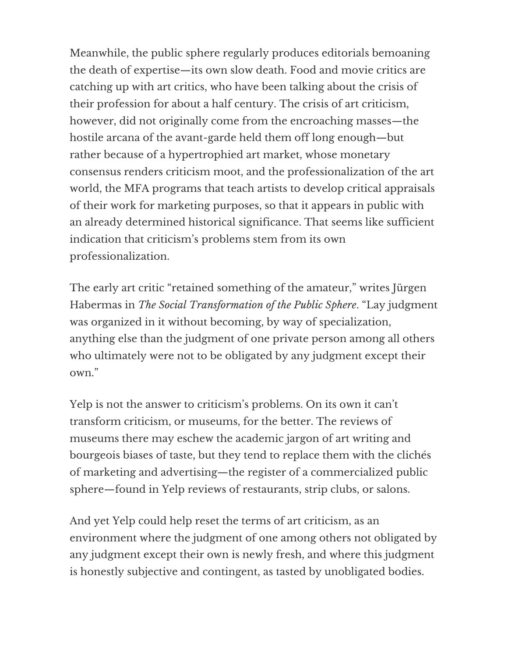Meanwhile, the public sphere regularly produces editorials bemoaning the death of expertise—its own slow death. Food and movie critics are catching up with art critics, who have been talking about the crisis of their profession for about a half century. The crisis of art criticism, however, did not originally come from the encroaching masses—the hostile arcana of the avant-garde held them off long enough—but rather because of a hypertrophied art market, whose monetary consensus renders criticism moot, and the professionalization of the art world, the MFA programs that teach artists to develop critical appraisals of their work for marketing purposes, so that it appears in public with an already determined historical significance. That seems like sufficient indication that criticism's problems stem from its own professionalization.

The early art critic "retained something of the amateur," writes Jürgen Habermas in The Social Transformation of the Public Sphere. "Lay judgment was organized in it without becoming, by way of specialization, anything else than the judgment of one private person among all others who ultimately were not to be obligated by any judgment except their own."

Yelp is not the answer to criticism's problems. On its own it can't transform criticism, or museums, for the better. The reviews of museums there may eschew the academic jargon of art writing and bourgeois biases of taste, but they tend to replace them with the clichés of marketing and advertising—the register of a commercialized public sphere—found in Yelp reviews of restaurants, strip clubs, or salons.

And yet Yelp could help reset the terms of art criticism, as an environment where the judgment of one among others not obligated by any judgment except their own is newly fresh, and where this judgment is honestly subjective and contingent, as tasted by unobligated bodies.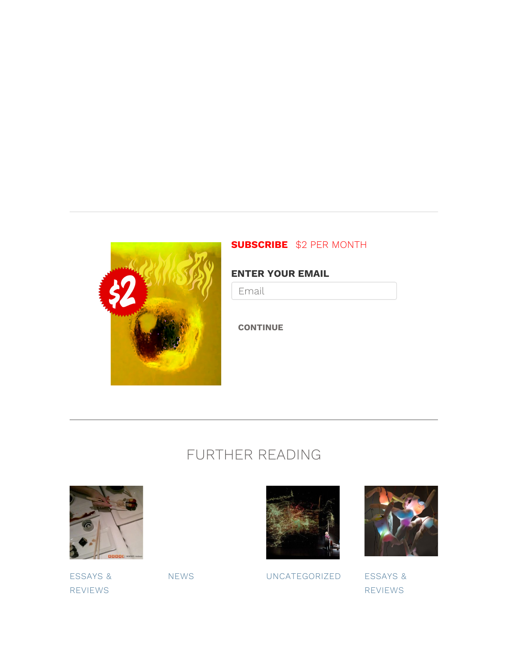

#### SUBSCRIBE \$2 PER MONTH

#### ENTER YOUR EMAIL

Email

**CONTINUE** 

# FURTHER READING



ESSAYS & REVIEWS



NEWS UNCATEGORIZED ESSAYS &



REVIEWS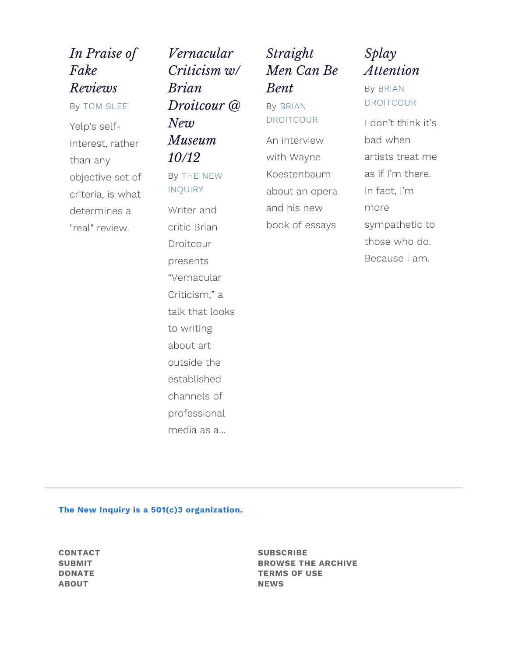# In Praise of Fake Reviews

By TOM SLEE Yelp's selfinterest, rather than any objective set of criteria, is what determines a "real" review.

Vernacular Criticism w/ Brian Droitcour @ New Museum 10/12 By THE NEW INQUIRY Writer and critic Brian Droitcour presents "Vernacular Criticism," a talk that looks to writing about art outside the established channels of professional media as a…

# Straight Men Can Be Bent

By BRIAN DROITCOUR

An interview with Wayne Koestenbaum about an opera and his new book of essays

## Splay Attention

### By BRIAN DROITCOUR

I don't think it's bad when artists treat me as if I'm there. In fact, I'm more sympathetic to those who do. Because I am.

#### The New Inquiry is a 501(c)3 organization.

CONTACT SUBMIT DONATE ABOUT

**SUBSCRIBE** BROWSE THE ARCHIVE TERMS OF USE **NEWS**